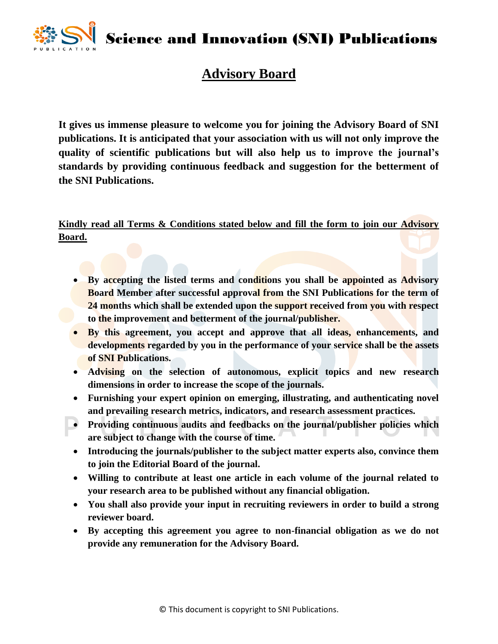Science and Innovation (SNI) Publications



## **Advisory Board**

**It gives us immense pleasure to welcome you for joining the Advisory Board of SNI publications. It is anticipated that your association with us will not only improve the quality of scientific publications but will also help us to improve the journal's standards by providing continuous feedback and suggestion for the betterment of the SNI Publications.**

**Kindly read all Terms & Conditions stated below and fill the form to join our Advisory Board.**

- **By accepting the listed terms and conditions you shall be appointed as Advisory Board Member after successful approval from the SNI Publications for the term of 24 months which shall be extended upon the support received from you with respect to the improvement and betterment of the journal/publisher.**
- **By this agreement, you accept and approve that all ideas, enhancements, and developments regarded by you in the performance of your service shall be the assets of SNI Publications.**
- **Advising on the selection of autonomous, explicit topics and new research dimensions in order to increase the scope of the journals.**
- **Furnishing your expert opinion on emerging, illustrating, and authenticating novel and prevailing research metrics, indicators, and research assessment practices.**
- **Providing continuous audits and feedbacks on the journal/publisher policies which are subject to change with the course of time.**
- **Introducing the journals/publisher to the subject matter experts also, convince them to join the Editorial Board of the journal.**
- **Willing to contribute at least one article in each volume of the journal related to your research area to be published without any financial obligation.**
- **You shall also provide your input in recruiting reviewers in order to build a strong reviewer board.**
- **By accepting this agreement you agree to non-financial obligation as we do not provide any remuneration for the Advisory Board.**